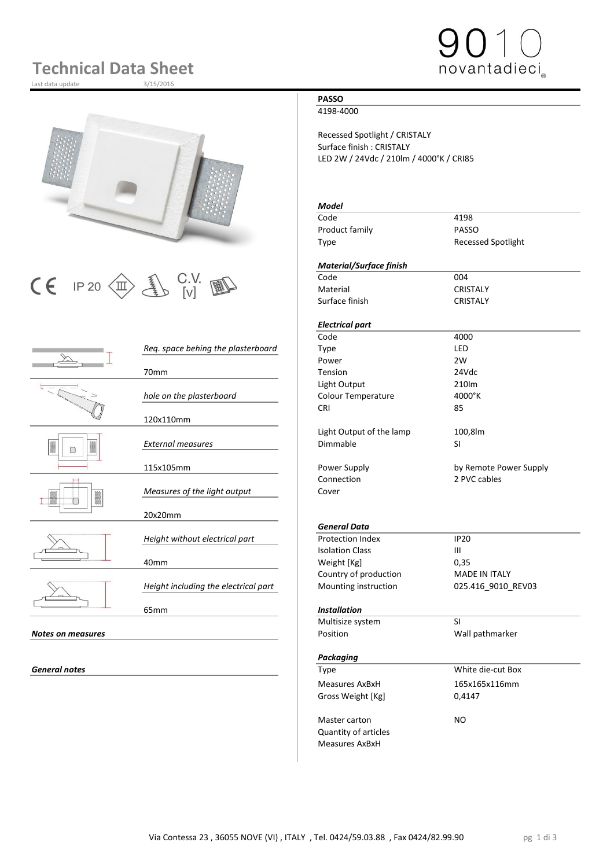## **Technical Data Sheet**

Last data update



# $\begin{array}{|c|c|c|c|}\n\hline\n\text{C} & \text{IP 20}\n\hline\n\text{CD} & \text{UV} & \text{W} & \text{C} & \text{C} & \text{C} & \text{C} & \text{C} & \text{C} & \text{C} \\
\hline\n\text{C} & \text{I} & \text{I} & \text{V} & \text{V} & \text{V} & \text{V} & \text{C} & \text{C} & \text{C} & \text{C} & \text{C} \\
\hline\n\end{array}$

|                          |                                      | code                      | 4000                 |
|--------------------------|--------------------------------------|---------------------------|----------------------|
|                          | Req. space behing the plasterboard   | Type                      | LED                  |
|                          |                                      | Power                     | 2W                   |
|                          | 70 <sub>mm</sub>                     | Tension                   | 24Vdc                |
|                          |                                      | Light Output              | 210lm                |
|                          | hole on the plasterboard             | <b>Colour Temperature</b> | 4000°K               |
|                          |                                      | <b>CRI</b>                | 85                   |
|                          | 120x110mm                            |                           |                      |
|                          |                                      | Light Output of the lamp  | 100,8lm              |
|                          | <b>External measures</b>             | Dimmable                  | <b>SI</b>            |
|                          |                                      |                           |                      |
|                          | 115x105mm                            | Power Supply              | by Remote Powe       |
|                          |                                      | Connection                | 2 PVC cables         |
|                          | Measures of the light output         | Cover                     |                      |
|                          |                                      |                           |                      |
|                          | 20x20mm                              |                           |                      |
|                          |                                      | <b>General Data</b>       |                      |
|                          | Height without electrical part       | Protection Index          | <b>IP20</b>          |
|                          |                                      | <b>Isolation Class</b>    | $\mathbf{III}$       |
|                          | 40 <sub>mm</sub>                     | Weight [Kg]               | 0,35                 |
|                          |                                      | Country of production     | <b>MADE IN ITALY</b> |
|                          | Height including the electrical part | Mounting instruction      | 025.416_9010_R       |
|                          |                                      |                           |                      |
|                          | 65 <sub>mm</sub>                     | <b>Installation</b>       |                      |
|                          |                                      | Multisize system          | <b>SI</b>            |
| <b>Notes on measures</b> |                                      | Position                  | Wall pathmarker      |
|                          |                                      |                           |                      |
|                          |                                      | Packaaina                 |                      |

### **PASSO**

4198-4000

Recessed Spotlight / CRISTALY Surface finish : CRISTALY LED 2W / 24Vdc / 210lm / 4000°K / CRI85

#### *Model*

Code 4198 Product family **PASSO** Type Recessed Spotlight

novantadieci

#### *Material/Surface finish*

Material CRISTALY Surface finish CRISTALY

#### *Electrical part*

Transformation of the code of the code of the code of the code of the code of the code of the code of the code of the code of the code of the code of the code of the code of the code of the code of the code of the code of Power 2W Light Output 210lm *hole on the plasterboard* Colour Temperature 4000°K CRI 85 Light Output of the lamp 100,8lm *External measures* Dimmable SI

Power Supply **115 and 115 and 115 and 115 and 115 and 115 and 115 and 115 and 115 and 115 and 115 and 115 and 11** Connection 2 PVC cables<br>Cover

#### *General Data*

**Protection Index IP20**<br>Isolation Class III **Isolation Class** Weight [Kg] 0,35 Country of production MADE IN ITALY Mounting instruction 025.416\_9010\_REV03

#### 65mm *Installation*

|                   | Multisize system            | SI                |  |
|-------------------|-----------------------------|-------------------|--|
| Notes on measures | Position                    | Wall pathmarker   |  |
|                   | Packaging                   |                   |  |
| General notes     | Type                        | White die-cut Box |  |
|                   | Measures AxBxH              | 165x165x116mm     |  |
|                   | Gross Weight [Kg]           | 0,4147            |  |
|                   | Master carton               | N <sub>O</sub>    |  |
|                   | <b>Quantity of articles</b> |                   |  |
|                   | <b>Measures AxBxH</b>       |                   |  |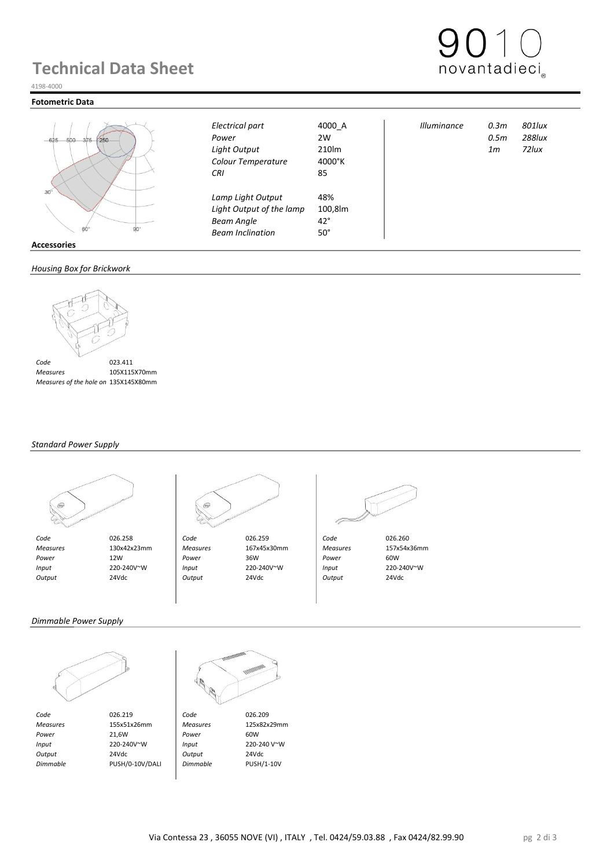## **Technical Data Sheet**



#### 4198-4000

#### **Fotometric Data**



|      | RΠ | $-10^\circ$ |
|------|----|-------------|
| ries |    |             |

#### *Housing Box for Brickwork*



 *Measures* 105X115X70mm  *Measures of the hole on Brickwork* 135X145X80mm

#### *Standard Power Supply*





 *Code* 026.258 *Code* 026.259 *Code* 026.260  *Measures* 130x42x23mm *Measures* 167x45x30mm *Measures* 157x54x36mm  *Power* 12W *Power* 36W *Power* 60W  *Input* 220-240V~W *Input* 220-240V~W *Input* 220-240V~W  *Output* 24Vdc *Output* 24Vdc *Output* 24Vdc

*Colour Temperature* 4000°K *CRI* 85

*Lamp Light Output* 48%

**Light Output of the lamp Beam Angle** 42° *Beam Inclination* 50°

*Electrical part* 4000\_A *Illuminance 0.3m 801lux Power* 2W *0.5m 288lux Light Output* 210lm *1m 72lux*

*Dimmable Power Supply*



*Code* 026.219 **Code** 026.209<br> *Measures* 155x51x26mm *Measures* 125x82x29mm  *Measures* 155x51x26mm *Measures* 125x82x29mm *Power* 21,6W **Power** 60W  *Input* 220-240V~W *Input* 220-240 V~W  *Output* 24Vdc *Output* 24Vdc  *Dimmable* PUSH/0-10V/DALI *Dimmable* PUSH/1-10V